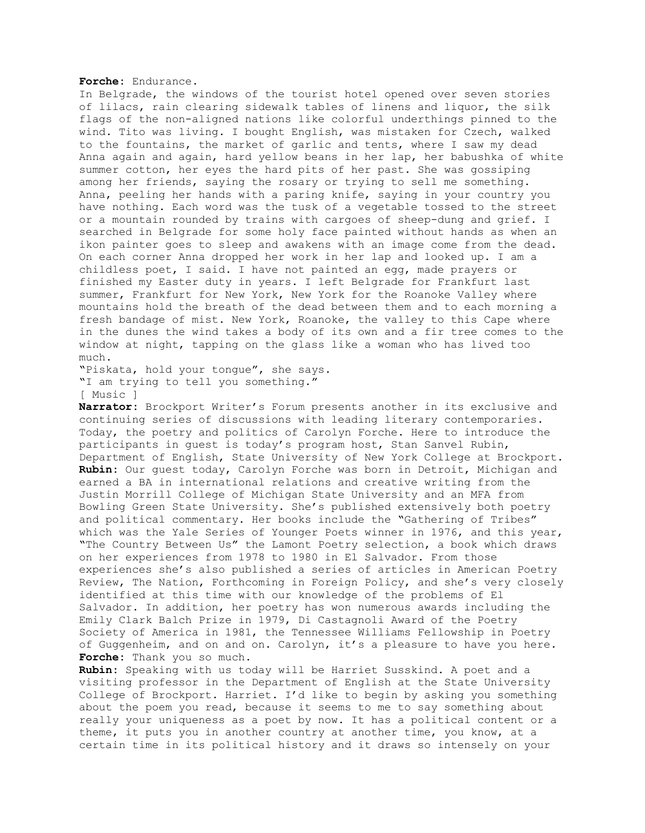## **Forche:** Endurance.

In Belgrade, the windows of the tourist hotel opened over seven stories of lilacs, rain clearing sidewalk tables of linens and liquor, the silk flags of the non-aligned nations like colorful underthings pinned to the wind. Tito was living. I bought English, was mistaken for Czech, walked to the fountains, the market of garlic and tents, where I saw my dead Anna again and again, hard yellow beans in her lap, her babushka of white summer cotton, her eyes the hard pits of her past. She was gossiping among her friends, saying the rosary or trying to sell me something. Anna, peeling her hands with a paring knife, saying in your country you have nothing. Each word was the tusk of a vegetable tossed to the street or a mountain rounded by trains with cargoes of sheep-dung and grief. I searched in Belgrade for some holy face painted without hands as when an ikon painter goes to sleep and awakens with an image come from the dead. On each corner Anna dropped her work in her lap and looked up. I am a childless poet, I said. I have not painted an egg, made prayers or finished my Easter duty in years. I left Belgrade for Frankfurt last summer, Frankfurt for New York, New York for the Roanoke Valley where mountains hold the breath of the dead between them and to each morning a fresh bandage of mist. New York, Roanoke, the valley to this Cape where in the dunes the wind takes a body of its own and a fir tree comes to the window at night, tapping on the glass like a woman who has lived too much.

**"**Piskata, hold your tongue**"**, she says. **"**I am trying to tell you something.**"**

[ Music ]

**Narrator:** Brockport Writer**'**s Forum presents another in its exclusive and continuing series of discussions with leading literary contemporaries. Today, the poetry and politics of Carolyn Forche. Here to introduce the participants in guest is today**'**s program host, Stan Sanvel Rubin, Department of English, State University of New York College at Brockport. **Rubin:** Our guest today, Carolyn Forche was born in Detroit, Michigan and earned a BA in international relations and creative writing from the Justin Morrill College of Michigan State University and an MFA from Bowling Green State University. She**'**s published extensively both poetry and political commentary. Her books include the **"**Gathering of Tribes**"** which was the Yale Series of Younger Poets winner in 1976, and this year, **"**The Country Between Us**"** the Lamont Poetry selection, a book which draws on her experiences from 1978 to 1980 in El Salvador. From those experiences she**'**s also published a series of articles in American Poetry Review, The Nation, Forthcoming in Foreign Policy, and she**'**s very closely identified at this time with our knowledge of the problems of El Salvador. In addition, her poetry has won numerous awards including the Emily Clark Balch Prize in 1979, Di Castagnoli Award of the Poetry Society of America in 1981, the Tennessee Williams Fellowship in Poetry of Guggenheim, and on and on. Carolyn, it**'**s a pleasure to have you here. **Forche:** Thank you so much.

**Rubin:** Speaking with us today will be Harriet Susskind. A poet and a visiting professor in the Department of English at the State University College of Brockport. Harriet. I**'**d like to begin by asking you something about the poem you read, because it seems to me to say something about really your uniqueness as a poet by now. It has a political content or a theme, it puts you in another country at another time, you know, at a certain time in its political history and it draws so intensely on your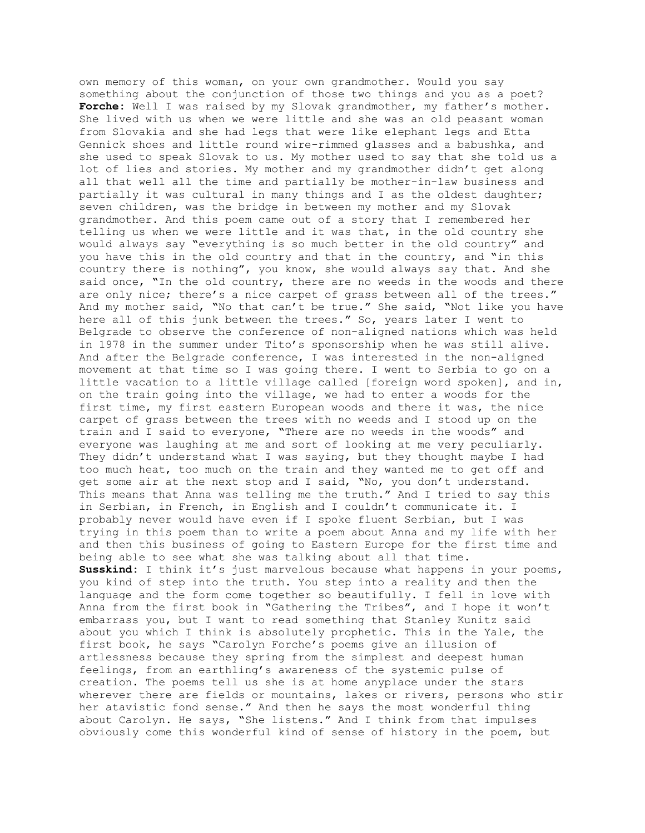own memory of this woman, on your own grandmother. Would you say something about the conjunction of those two things and you as a poet? **Forche:** Well I was raised by my Slovak grandmother, my father**'**s mother. She lived with us when we were little and she was an old peasant woman from Slovakia and she had legs that were like elephant legs and Etta Gennick shoes and little round wire-rimmed glasses and a babushka, and she used to speak Slovak to us. My mother used to say that she told us a lot of lies and stories. My mother and my grandmother didn**'**t get along all that well all the time and partially be mother-in-law business and partially it was cultural in many things and I as the oldest daughter; seven children, was the bridge in between my mother and my Slovak grandmother. And this poem came out of a story that I remembered her telling us when we were little and it was that, in the old country she would always say **"**everything is so much better in the old country**"** and you have this in the old country and that in the country, and **"**in this country there is nothing**"**, you know, she would always say that. And she said once, **"**In the old country, there are no weeds in the woods and there are only nice; there**'**s a nice carpet of grass between all of the trees.**"** And my mother said, **"**No that can**'**t be true.**"** She said, **"**Not like you have here all of this junk between the trees.**"** So, years later I went to Belgrade to observe the conference of non-aligned nations which was held in 1978 in the summer under Tito**'**s sponsorship when he was still alive. And after the Belgrade conference, I was interested in the non-aligned movement at that time so I was going there. I went to Serbia to go on a little vacation to a little village called [foreign word spoken], and in, on the train going into the village, we had to enter a woods for the first time, my first eastern European woods and there it was, the nice carpet of grass between the trees with no weeds and I stood up on the train and I said to everyone, **"**There are no weeds in the woods**"** and everyone was laughing at me and sort of looking at me very peculiarly. They didn**'**t understand what I was saying, but they thought maybe I had too much heat, too much on the train and they wanted me to get off and get some air at the next stop and I said, **"**No, you don**'**t understand. This means that Anna was telling me the truth.**"** And I tried to say this in Serbian, in French, in English and I couldn**'**t communicate it. I probably never would have even if I spoke fluent Serbian, but I was trying in this poem than to write a poem about Anna and my life with her and then this business of going to Eastern Europe for the first time and being able to see what she was talking about all that time. **Susskind:** I think it**'**s just marvelous because what happens in your poems, you kind of step into the truth. You step into a reality and then the language and the form come together so beautifully. I fell in love with Anna from the first book in **"**Gathering the Tribes**"**, and I hope it won**'**t embarrass you, but I want to read something that Stanley Kunitz said about you which I think is absolutely prophetic. This in the Yale, the first book, he says **"**Carolyn Forche**'**s poems give an illusion of artlessness because they spring from the simplest and deepest human feelings, from an earthling**'**s awareness of the systemic pulse of creation. The poems tell us she is at home anyplace under the stars wherever there are fields or mountains, lakes or rivers, persons who stir her atavistic fond sense.**"** And then he says the most wonderful thing about Carolyn. He says, **"**She listens.**"** And I think from that impulses obviously come this wonderful kind of sense of history in the poem, but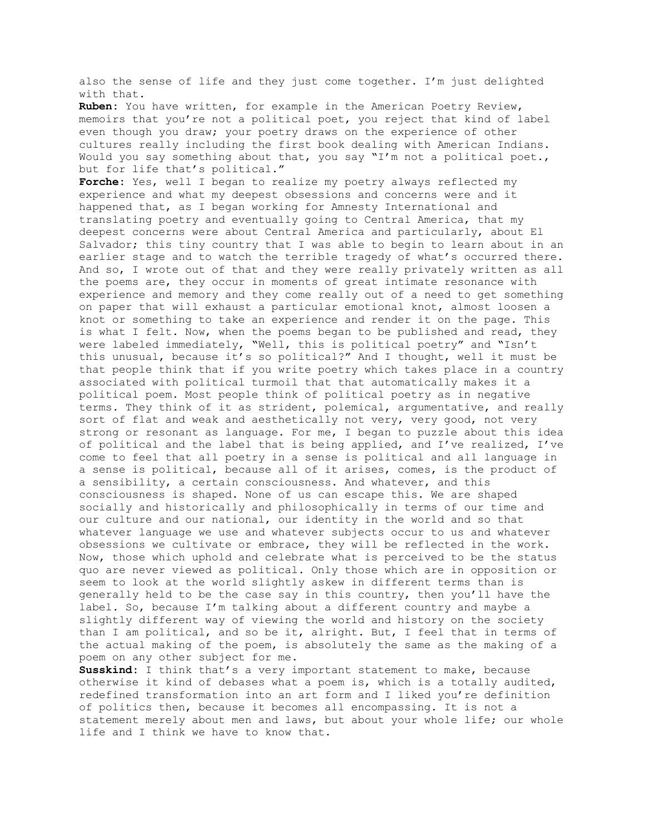also the sense of life and they just come together. I**'**m just delighted with that.

**Ruben:** You have written, for example in the American Poetry Review, memoirs that you**'**re not a political poet, you reject that kind of label even though you draw; your poetry draws on the experience of other cultures really including the first book dealing with American Indians. Would you say something about that, you say **"**I**'**m not a political poet., but for life that**'**s political.**"**

Forche: Yes, well I began to realize my poetry always reflected my experience and what my deepest obsessions and concerns were and it happened that, as I began working for Amnesty International and translating poetry and eventually going to Central America, that my deepest concerns were about Central America and particularly, about El Salvador; this tiny country that I was able to begin to learn about in an earlier stage and to watch the terrible tragedy of what**'**s occurred there. And so, I wrote out of that and they were really privately written as all the poems are, they occur in moments of great intimate resonance with experience and memory and they come really out of a need to get something on paper that will exhaust a particular emotional knot, almost loosen a knot or something to take an experience and render it on the page. This is what I felt. Now, when the poems began to be published and read, they were labeled immediately, **"**Well, this is political poetry**"** and **"**Isn**'**t this unusual, because it**'**s so political?**"** And I thought, well it must be that people think that if you write poetry which takes place in a country associated with political turmoil that that automatically makes it a political poem. Most people think of political poetry as in negative terms. They think of it as strident, polemical, argumentative, and really sort of flat and weak and aesthetically not very, very good, not very strong or resonant as language. For me, I began to puzzle about this idea of political and the label that is being applied, and I**'**ve realized, I**'**ve come to feel that all poetry in a sense is political and all language in a sense is political, because all of it arises, comes, is the product of a sensibility, a certain consciousness. And whatever, and this consciousness is shaped. None of us can escape this. We are shaped socially and historically and philosophically in terms of our time and our culture and our national, our identity in the world and so that whatever language we use and whatever subjects occur to us and whatever obsessions we cultivate or embrace, they will be reflected in the work. Now, those which uphold and celebrate what is perceived to be the status quo are never viewed as political. Only those which are in opposition or seem to look at the world slightly askew in different terms than is generally held to be the case say in this country, then you**'**ll have the label. So, because I**'**m talking about a different country and maybe a slightly different way of viewing the world and history on the society than I am political, and so be it, alright. But, I feel that in terms of the actual making of the poem, is absolutely the same as the making of a poem on any other subject for me.

**Susskind:** I think that**'**s a very important statement to make, because otherwise it kind of debases what a poem is, which is a totally audited, redefined transformation into an art form and I liked you**'**re definition of politics then, because it becomes all encompassing. It is not a statement merely about men and laws, but about your whole life; our whole life and I think we have to know that.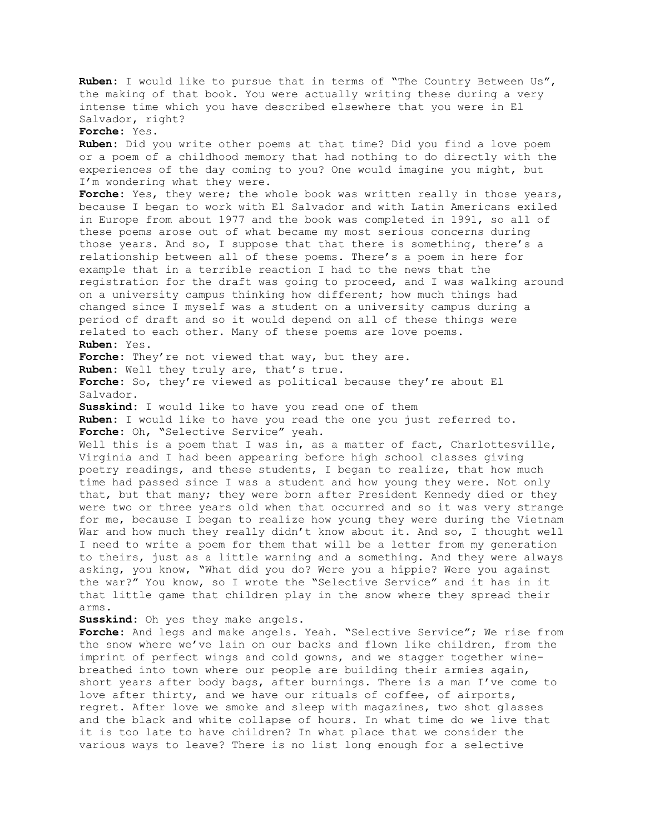**Ruben:** I would like to pursue that in terms of **"**The Country Between Us**"**, the making of that book. You were actually writing these during a very intense time which you have described elsewhere that you were in El Salvador, right? **Forche:** Yes. **Ruben:** Did you write other poems at that time? Did you find a love poem or a poem of a childhood memory that had nothing to do directly with the experiences of the day coming to you? One would imagine you might, but I**'**m wondering what they were. Forche: Yes, they were; the whole book was written really in those years, because I began to work with El Salvador and with Latin Americans exiled in Europe from about 1977 and the book was completed in 1991, so all of these poems arose out of what became my most serious concerns during those years. And so, I suppose that that there is something, there**'**s a relationship between all of these poems. There**'**s a poem in here for example that in a terrible reaction I had to the news that the registration for the draft was going to proceed, and I was walking around on a university campus thinking how different; how much things had changed since I myself was a student on a university campus during a period of draft and so it would depend on all of these things were related to each other. Many of these poems are love poems. **Ruben:** Yes. **Forche:** They**'**re not viewed that way, but they are. **Ruben:** Well they truly are, that**'**s true. **Forche:** So, they**'**re viewed as political because they**'**re about El Salvador. **Susskind:** I would like to have you read one of them **Ruben:** I would like to have you read the one you just referred to. **Forche:** Oh, **"**Selective Service**"** yeah. Well this is a poem that I was in, as a matter of fact, Charlottesville, Virginia and I had been appearing before high school classes giving poetry readings, and these students, I began to realize, that how much time had passed since I was a student and how young they were. Not only that, but that many; they were born after President Kennedy died or they were two or three years old when that occurred and so it was very strange for me, because I began to realize how young they were during the Vietnam War and how much they really didn**'**t know about it. And so, I thought well I need to write a poem for them that will be a letter from my generation to theirs, just as a little warning and a something. And they were always asking, you know, **"**What did you do? Were you a hippie? Were you against the war?**"** You know, so I wrote the **"**Selective Service**"** and it has in it that little game that children play in the snow where they spread their arms. **Susskind:** Oh yes they make angels. **Forche:** And legs and make angels. Yeah. **"**Selective Service**"**; We rise from the snow where we**'**ve lain on our backs and flown like children, from the imprint of perfect wings and cold gowns, and we stagger together winebreathed into town where our people are building their armies again, short years after body bags, after burnings. There is a man I**'**ve come to love after thirty, and we have our rituals of coffee, of airports, regret. After love we smoke and sleep with magazines, two shot glasses and the black and white collapse of hours. In what time do we live that it is too late to have children? In what place that we consider the various ways to leave? There is no list long enough for a selective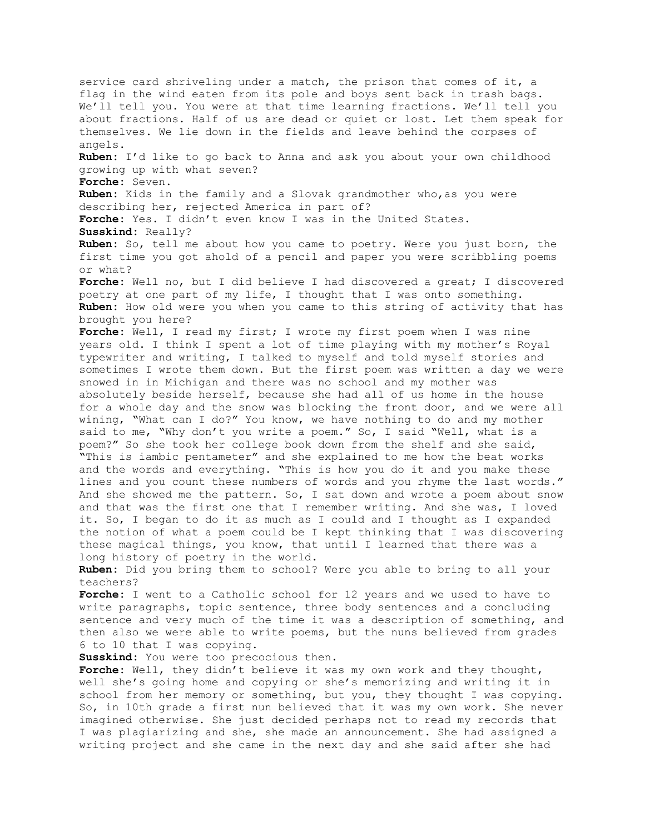service card shriveling under a match, the prison that comes of it, a flag in the wind eaten from its pole and boys sent back in trash bags. We**'**ll tell you. You were at that time learning fractions. We**'**ll tell you about fractions. Half of us are dead or quiet or lost. Let them speak for themselves. We lie down in the fields and leave behind the corpses of angels. **Ruben:** I**'**d like to go back to Anna and ask you about your own childhood growing up with what seven? **Forche:** Seven. **Ruben:** Kids in the family and a Slovak grandmother who,as you were describing her, rejected America in part of? **Forche:** Yes. I didn**'**t even know I was in the United States. **Susskind:** Really? **Ruben:** So, tell me about how you came to poetry. Were you just born, the first time you got ahold of a pencil and paper you were scribbling poems or what? **Forche:** Well no, but I did believe I had discovered a great; I discovered poetry at one part of my life, I thought that I was onto something. **Ruben:** How old were you when you came to this string of activity that has brought you here? Forche: Well, I read my first; I wrote my first poem when I was nine years old. I think I spent a lot of time playing with my mother**'**s Royal typewriter and writing, I talked to myself and told myself stories and sometimes I wrote them down. But the first poem was written a day we were snowed in in Michigan and there was no school and my mother was absolutely beside herself, because she had all of us home in the house for a whole day and the snow was blocking the front door, and we were all wining, **"**What can I do?**"** You know, we have nothing to do and my mother said to me, **"**Why don**'**t you write a poem.**"** So, I said **"**Well, what is a poem?**"** So she took her college book down from the shelf and she said, **"**This is iambic pentameter**"** and she explained to me how the beat works and the words and everything. **"**This is how you do it and you make these lines and you count these numbers of words and you rhyme the last words.**"** And she showed me the pattern. So, I sat down and wrote a poem about snow and that was the first one that I remember writing. And she was, I loved it. So, I began to do it as much as I could and I thought as I expanded the notion of what a poem could be I kept thinking that I was discovering these magical things, you know, that until I learned that there was a long history of poetry in the world. **Ruben:** Did you bring them to school? Were you able to bring to all your teachers? **Forche:** I went to a Catholic school for 12 years and we used to have to write paragraphs, topic sentence, three body sentences and a concluding sentence and very much of the time it was a description of something, and then also we were able to write poems, but the nuns believed from grades 6 to 10 that I was copying. **Susskind:** You were too precocious then. **Forche:** Well, they didn**'**t believe it was my own work and they thought, well she**'**s going home and copying or she**'**s memorizing and writing it in school from her memory or something, but you, they thought I was copying. So, in 10th grade a first nun believed that it was my own work. She never imagined otherwise. She just decided perhaps not to read my records that I was plagiarizing and she, she made an announcement. She had assigned a

writing project and she came in the next day and she said after she had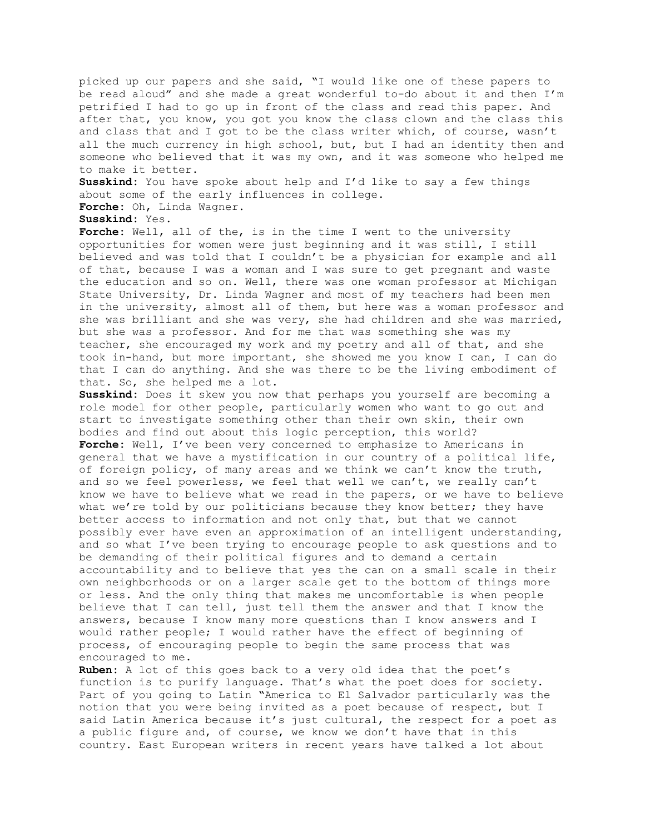picked up our papers and she said, **"**I would like one of these papers to be read aloud**"** and she made a great wonderful to-do about it and then I**'**m petrified I had to go up in front of the class and read this paper. And after that, you know, you got you know the class clown and the class this and class that and I got to be the class writer which, of course, wasn**'**t all the much currency in high school, but, but I had an identity then and someone who believed that it was my own, and it was someone who helped me to make it better.

**Susskind:** You have spoke about help and I**'**d like to say a few things about some of the early influences in college. **Forche:** Oh, Linda Wagner. **Susskind:** Yes.

Forche: Well, all of the, is in the time I went to the university opportunities for women were just beginning and it was still, I still believed and was told that I couldn**'**t be a physician for example and all of that, because I was a woman and I was sure to get pregnant and waste the education and so on. Well, there was one woman professor at Michigan State University, Dr. Linda Wagner and most of my teachers had been men in the university, almost all of them, but here was a woman professor and she was brilliant and she was very, she had children and she was married, but she was a professor. And for me that was something she was my teacher, she encouraged my work and my poetry and all of that, and she took in-hand, but more important, she showed me you know I can, I can do that I can do anything. And she was there to be the living embodiment of that. So, she helped me a lot.

**Susskind:** Does it skew you now that perhaps you yourself are becoming a role model for other people, particularly women who want to go out and start to investigate something other than their own skin, their own bodies and find out about this logic perception, this world? **Forche:** Well, I**'**ve been very concerned to emphasize to Americans in general that we have a mystification in our country of a political life, of foreign policy, of many areas and we think we can**'**t know the truth, and so we feel powerless, we feel that well we can**'**t, we really can**'**t know we have to believe what we read in the papers, or we have to believe what we**'**re told by our politicians because they know better; they have better access to information and not only that, but that we cannot possibly ever have even an approximation of an intelligent understanding, and so what I**'**ve been trying to encourage people to ask questions and to be demanding of their political figures and to demand a certain accountability and to believe that yes the can on a small scale in their own neighborhoods or on a larger scale get to the bottom of things more or less. And the only thing that makes me uncomfortable is when people believe that I can tell, just tell them the answer and that I know the answers, because I know many more questions than I know answers and I would rather people; I would rather have the effect of beginning of process, of encouraging people to begin the same process that was encouraged to me.

**Ruben:** A lot of this goes back to a very old idea that the poet**'**s function is to purify language. That**'**s what the poet does for society. Part of you going to Latin **"**America to El Salvador particularly was the notion that you were being invited as a poet because of respect, but I said Latin America because it**'**s just cultural, the respect for a poet as a public figure and, of course, we know we don**'**t have that in this country. East European writers in recent years have talked a lot about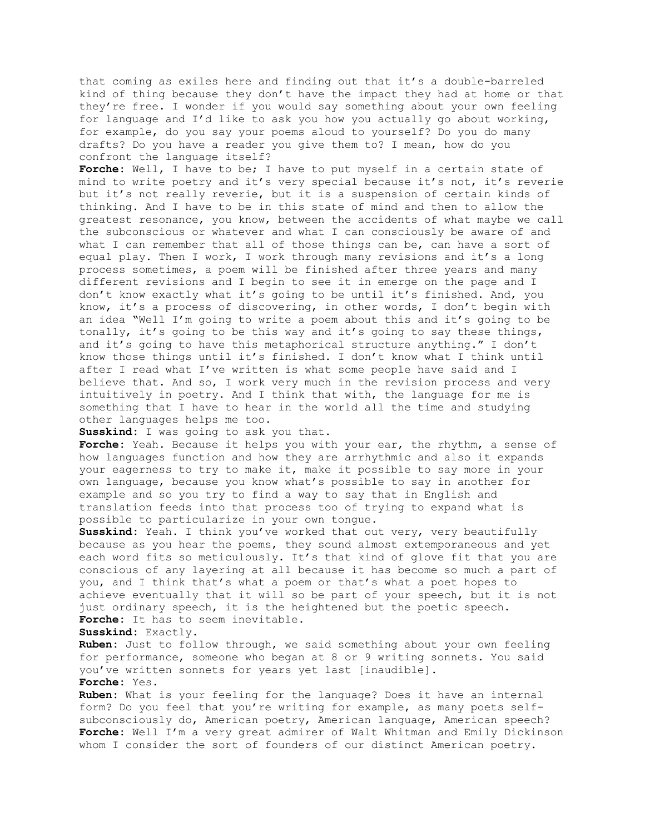that coming as exiles here and finding out that it**'**s a double-barreled kind of thing because they don**'**t have the impact they had at home or that they**'**re free. I wonder if you would say something about your own feeling for language and I**'**d like to ask you how you actually go about working, for example, do you say your poems aloud to yourself? Do you do many drafts? Do you have a reader you give them to? I mean, how do you confront the language itself?

Forche: Well, I have to be; I have to put myself in a certain state of mind to write poetry and it**'**s very special because it**'**s not, it**'**s reverie but it**'**s not really reverie, but it is a suspension of certain kinds of thinking. And I have to be in this state of mind and then to allow the greatest resonance, you know, between the accidents of what maybe we call the subconscious or whatever and what I can consciously be aware of and what I can remember that all of those things can be, can have a sort of equal play. Then I work, I work through many revisions and it**'**s a long process sometimes, a poem will be finished after three years and many different revisions and I begin to see it in emerge on the page and I don**'**t know exactly what it**'**s going to be until it**'**s finished. And, you know, it**'**s a process of discovering, in other words, I don**'**t begin with an idea **"**Well I**'**m going to write a poem about this and it**'**s going to be tonally, it**'**s going to be this way and it**'**s going to say these things, and it**'**s going to have this metaphorical structure anything.**"** I don**'**t know those things until it**'**s finished. I don**'**t know what I think until after I read what I**'**ve written is what some people have said and I believe that. And so, I work very much in the revision process and very intuitively in poetry. And I think that with, the language for me is something that I have to hear in the world all the time and studying other languages helps me too.

## **Susskind:** I was going to ask you that.

**Forche:** Yeah. Because it helps you with your ear, the rhythm, a sense of how languages function and how they are arrhythmic and also it expands your eagerness to try to make it, make it possible to say more in your own language, because you know what**'**s possible to say in another for example and so you try to find a way to say that in English and translation feeds into that process too of trying to expand what is possible to particularize in your own tongue.

**Susskind:** Yeah. I think you**'**ve worked that out very, very beautifully because as you hear the poems, they sound almost extemporaneous and yet each word fits so meticulously. It**'**s that kind of glove fit that you are conscious of any layering at all because it has become so much a part of you, and I think that**'**s what a poem or that**'**s what a poet hopes to achieve eventually that it will so be part of your speech, but it is not just ordinary speech, it is the heightened but the poetic speech. Forche: It has to seem inevitable.

**Susskind:** Exactly.

**Ruben:** Just to follow through, we said something about your own feeling for performance, someone who began at 8 or 9 writing sonnets. You said you**'**ve written sonnets for years yet last [inaudible]. **Forche:** Yes.

**Ruben:** What is your feeling for the language? Does it have an internal form? Do you feel that you're writing for example, as many poets selfsubconsciously do, American poetry, American language, American speech? **Forche:** Well I**'**m a very great admirer of Walt Whitman and Emily Dickinson whom I consider the sort of founders of our distinct American poetry.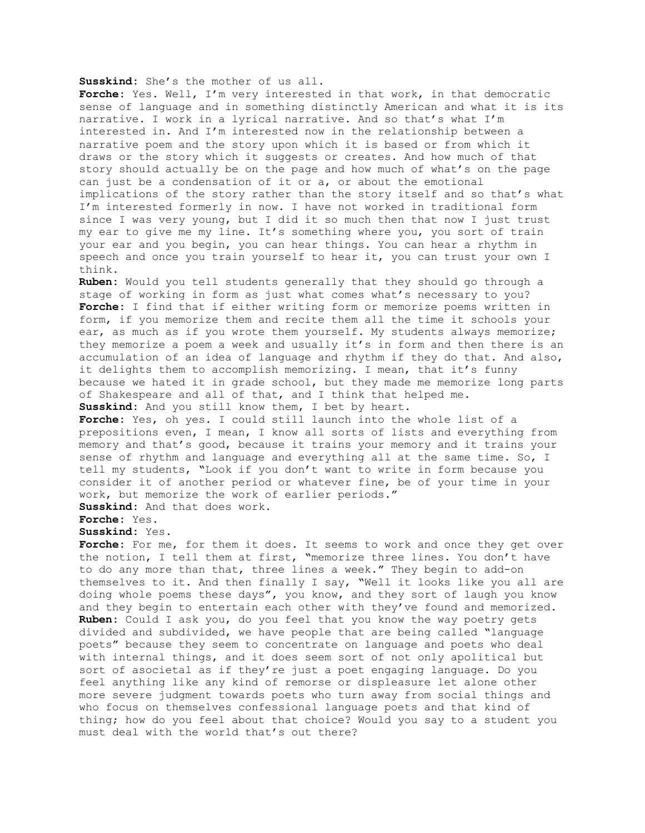## **Susskind:** She**'**s the mother of us all.

**Forche:** Yes. Well, I**'**m very interested in that work, in that democratic sense of language and in something distinctly American and what it is its narrative. I work in a lyrical narrative. And so that**'**s what I**'**m interested in. And I**'**m interested now in the relationship between a narrative poem and the story upon which it is based or from which it draws or the story which it suggests or creates. And how much of that story should actually be on the page and how much of what**'**s on the page can just be a condensation of it or a, or about the emotional implications of the story rather than the story itself and so that**'**s what I**'**m interested formerly in now. I have not worked in traditional form since I was very young, but I did it so much then that now I just trust my ear to give me my line. It**'**s something where you, you sort of train your ear and you begin, you can hear things. You can hear a rhythm in speech and once you train yourself to hear it, you can trust your own I think.

**Ruben:** Would you tell students generally that they should go through a stage of working in form as just what comes what**'**s necessary to you? **Forche:** I find that if either writing form or memorize poems written in form, if you memorize them and recite them all the time it schools your ear, as much as if you wrote them yourself. My students always memorize; they memorize a poem a week and usually it**'**s in form and then there is an accumulation of an idea of language and rhythm if they do that. And also, it delights them to accomplish memorizing. I mean, that it**'**s funny because we hated it in grade school, but they made me memorize long parts of Shakespeare and all of that, and I think that helped me. **Susskind:** And you still know them, I bet by heart.

**Forche:** Yes, oh yes. I could still launch into the whole list of a prepositions even, I mean, I know all sorts of lists and everything from memory and that**'**s good, because it trains your memory and it trains your sense of rhythm and language and everything all at the same time. So, I tell my students, **"**Look if you don**'**t want to write in form because you consider it of another period or whatever fine, be of your time in your work, but memorize the work of earlier periods.**"**

**Susskind:** And that does work.

**Forche:** Yes.

**Susskind:** Yes.

Forche: For me, for them it does. It seems to work and once they get over the notion, I tell them at first, **"**memorize three lines. You don**'**t have to do any more than that, three lines a week.**"** They begin to add-on themselves to it. And then finally I say, **"**Well it looks like you all are doing whole poems these days**"**, you know, and they sort of laugh you know and they begin to entertain each other with they**'**ve found and memorized. **Ruben:** Could I ask you, do you feel that you know the way poetry gets divided and subdivided, we have people that are being called **"**language poets**"** because they seem to concentrate on language and poets who deal with internal things, and it does seem sort of not only apolitical but sort of asocietal as if they**'**re just a poet engaging language. Do you feel anything like any kind of remorse or displeasure let alone other more severe judgment towards poets who turn away from social things and who focus on themselves confessional language poets and that kind of thing; how do you feel about that choice? Would you say to a student you must deal with the world that**'**s out there?